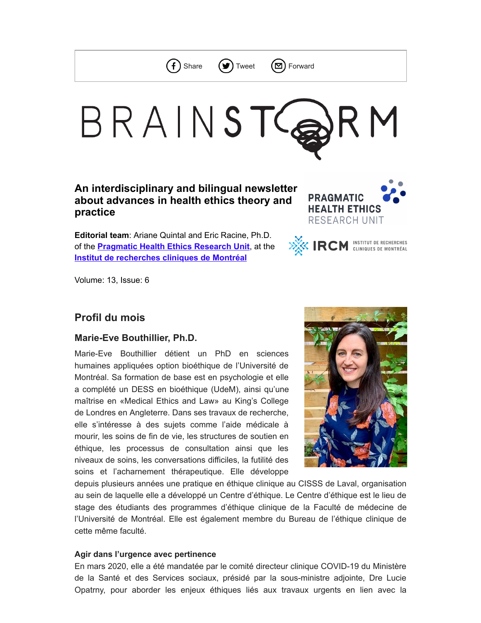



# BRAINSTG R M

# **An interdisciplinary and bilingual newsletter about advances in health ethics theory and practice**

**Editorial team**: Ariane Quintal and Eric Racine, Ph.D. of the **[Pragmatic Health Ethics Research Unit](http://www.pragmatichealthethics.ca/)**, at the **[Institut de recherches cliniques de Montréal](https://ircm.qc.ca/en)**





Volume: 13, Issue: 6

# **Profil du mois**

## **Marie-Eve Bouthillier, Ph.D.**

Marie-Eve Bouthillier détient un PhD en sciences humaines appliquées option bioéthique de l'Université de Montréal. Sa formation de base est en psychologie et elle a complété un DESS en bioéthique (UdeM), ainsi qu'une maîtrise en «Medical Ethics and Law» au King's College de Londres en Angleterre. Dans ses travaux de recherche, elle s'intéresse à des sujets comme l'aide médicale à mourir, les soins de fin de vie, les structures de soutien en éthique, les processus de consultation ainsi que les niveaux de soins, les conversations difficiles, la futilité des soins et l'acharnement thérapeutique. Elle développe



depuis plusieurs années une pratique en éthique clinique au CISSS de Laval, organisation au sein de laquelle elle a développé un Centre d'éthique. Le Centre d'éthique est le lieu de stage des étudiants des programmes d'éthique clinique de la Faculté de médecine de l'Université de Montréal. Elle est également membre du Bureau de l'éthique clinique de cette même faculté.

#### **Agir dans l'urgence avec pertinence**

En mars 2020, elle a été mandatée par le comité directeur clinique COVID-19 du Ministère de la Santé et des Services sociaux, présidé par la sous-ministre adjointe, Dre Lucie Opatrny, pour aborder les enjeux éthiques liés aux travaux urgents en lien avec la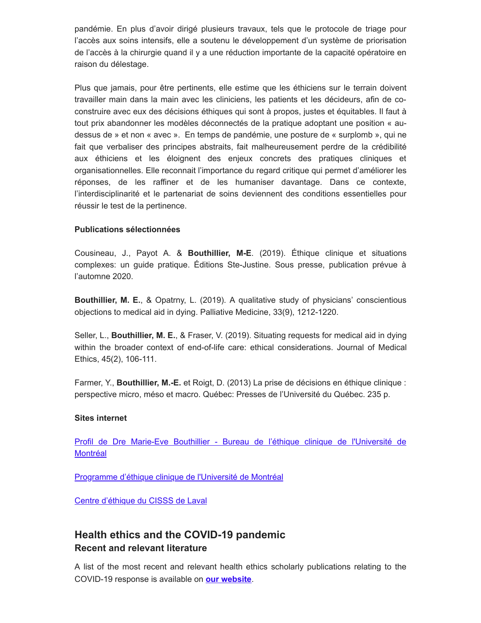pandémie. En plus d'avoir dirigé plusieurs travaux, tels que le protocole de triage pour l'accès aux soins intensifs, elle a soutenu le développement d'un système de priorisation de l'accès à la chirurgie quand il y a une réduction importante de la capacité opératoire en raison du délestage.

Plus que jamais, pour être pertinents, elle estime que les éthiciens sur le terrain doivent travailler main dans la main avec les cliniciens, les patients et les décideurs, afin de coconstruire avec eux des décisions éthiques qui sont à propos, justes et équitables. Il faut à tout prix abandonner les modèles déconnectés de la pratique adoptant une position « audessus de » et non « avec ». En temps de pandémie, une posture de « surplomb », qui ne fait que verbaliser des principes abstraits, fait malheureusement perdre de la crédibilité aux éthiciens et les éloignent des enjeux concrets des pratiques cliniques et organisationnelles. Elle reconnait l'importance du regard critique qui permet d'améliorer les réponses, de les raffiner et de les humaniser davantage. Dans ce contexte, l'interdisciplinarité et le partenariat de soins deviennent des conditions essentielles pour réussir le test de la pertinence.

#### **Publications sélectionnées**

Cousineau, J., Payot A. & **Bouthillier, M-E**. (2019). Éthique clinique et situations complexes: un guide pratique. Éditions Ste-Justine. Sous presse, publication prévue à l'automne 2020.

**Bouthillier, M. E.**, & Opatrny, L. (2019). A qualitative study of physicians' conscientious objections to medical aid in dying. Palliative Medicine, 33(9), 1212-1220.

Seller, L., **Bouthillier, M. E.**, & Fraser, V. (2019). Situating requests for medical aid in dying within the broader context of end-of-life care: ethical considerations. Journal of Medical Ethics, 45(2), 106-111.

Farmer, Y., **Bouthillier, M.-E.** et Roigt, D. (2013) La prise de décisions en éthique clinique : perspective micro, méso et macro. Québec: Presses de l'Université du Québec. 235 p.

#### **Sites internet**

[Profil de Dre Marie-Eve Bouthillier - Bureau de l'éthique clinique de l'Université de](https://ethiqueclinique.umontreal.ca/recherche/reseau-chercheurs/marie-eve-bouthillier/) **Montréal** 

[Programme d'éthique clinique de l'Université de Montréal](https://www.ethiqueclinique.ca/)

[Centre d'éthique du CISSS de Laval](http://www.lavalensante.com/cisss-de-laval/centre-dethique/)

# **Health ethics and the COVID-19 pandemic Recent and relevant literature**

A list of the most recent and relevant health ethics scholarly publications relating to the COVID-19 response is available on **[our website](https://www.pragmatichealthethics.ca/health-ethics-and-the-covid-19-pandemic/)**.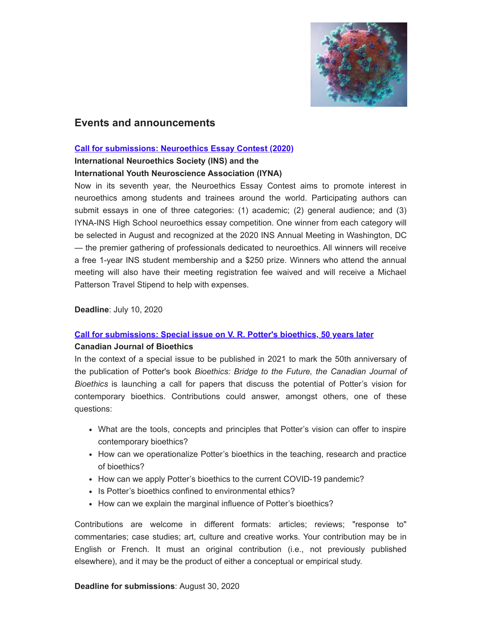

# **Events and announcements**

#### **[Call for submissions: Neuroethics Essay Contest \(2020\)](https://www.neuroethicssociety.org/essay-call)**

#### **International Neuroethics Society (INS) and the**

#### **International Youth Neuroscience Association (IYNA)**

Now in its seventh year, the Neuroethics Essay Contest aims to promote interest in neuroethics among students and trainees around the world. Participating authors can submit essays in one of three categories: (1) academic; (2) general audience; and (3) IYNA-INS High School neuroethics essay competition. One winner from each category will be selected in August and recognized at the 2020 INS Annual Meeting in Washington, DC — the premier gathering of professionals dedicated to neuroethics. All winners will receive a free 1-year INS student membership and a \$250 prize. Winners who attend the annual meeting will also have their meeting registration fee waived and will receive a Michael Patterson Travel Stipend to help with expenses.

**Deadline**: July 10, 2020

#### **[Call for submissions: Special issue on V. R. Potter's bioethics, 50 years later](https://cjb-rcb.ca/index.php/cjb-rcb/announcement/view/5)**

#### **Canadian Journal of Bioethics**

In the context of a special issue to be published in 2021 to mark the 50th anniversary of the publication of Potter's book *Bioethics: Bridge to the Future, the Canadian Journal of Bioethics* is launching a call for papers that discuss the potential of Potter's vision for contemporary bioethics. Contributions could answer, amongst others, one of these questions:

- What are the tools, concepts and principles that Potter's vision can offer to inspire contemporary bioethics?
- How can we operationalize Potter's bioethics in the teaching, research and practice of bioethics?
- How can we apply Potter's bioethics to the current COVID-19 pandemic?
- Is Potter's bioethics confined to environmental ethics?
- How can we explain the marginal influence of Potter's bioethics?

Contributions are welcome in different formats: articles; reviews; "response to" commentaries; case studies; art, culture and creative works. Your contribution may be in English or French. It must an original contribution (i.e., not previously published elsewhere), and it may be the product of either a conceptual or empirical study.

#### **Deadline for submissions**: August 30, 2020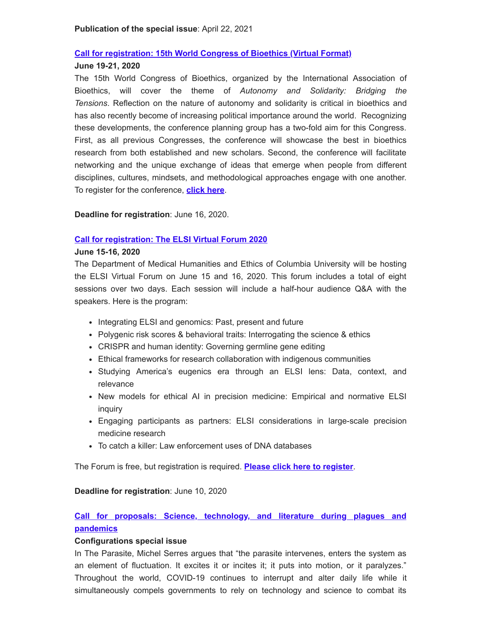#### **[Call for registration: 15th World Congress of Bioethics \(Virtual Format\)](https://iab2020.org/registration/)**

#### **June 19-21, 2020**

The 15th World Congress of Bioethics, organized by the International Association of Bioethics, will cover the theme of *Autonomy and Solidarity: Bridging the Tensions*. Reflection on the nature of autonomy and solidarity is critical in bioethics and has also recently become of increasing political importance around the world. Recognizing these developments, the conference planning group has a two-fold aim for this Congress. First, as all previous Congresses, the conference will showcase the best in bioethics research from both established and new scholars. Second, the conference will facilitate networking and the unique exchange of ideas that emerge when people from different disciplines, cultures, mindsets, and methodological approaches engage with one another. To register for the conference, **[click here](https://iab2020.org/registration/)**.

**Deadline for registration**: June 16, 2020.

#### **[Call for registration: The ELSI Virtual Forum 2020](https://www.mhe.cuimc.columbia.edu/elsi-virtual-forum)**

#### **June 15-16, 2020**

The Department of Medical Humanities and Ethics of Columbia University will be hosting the ELSI Virtual Forum on June 15 and 16, 2020. This forum includes a total of eight sessions over two days. Each session will include a half-hour audience Q&A with the speakers. Here is the program:

- Integrating ELSI and genomics: Past, present and future
- Polygenic risk scores & behavioral traits: Interrogating the science & ethics
- CRISPR and human identity: Governing germline gene editing
- Ethical frameworks for research collaboration with indigenous communities
- Studying America's eugenics era through an ELSI lens: Data, context, and relevance
- New models for ethical AI in precision medicine: Empirical and normative ELSI inquiry
- Engaging participants as partners: ELSI considerations in large-scale precision medicine research
- To catch a killer: Law enforcement uses of DNA databases

The Forum is free, but registration is required. **[Please click here to register](https://www.mhe.cuimc.columbia.edu/elsi-virtual-forum/registration)**.

**Deadline for registration**: June 10, 2020

## **[Call for proposals: Science, technology, and literature during plagues and](https://www.4sonline.org/site/profession/configurations_special_issue_science_technology_and_literature_during_plagues_and_pandemics) pandemics**

#### **Configurations special issue**

In The Parasite, Michel Serres argues that "the parasite intervenes, enters the system as an element of fluctuation. It excites it or incites it; it puts into motion, or it paralyzes." Throughout the world, COVID-19 continues to interrupt and alter daily life while it simultaneously compels governments to rely on technology and science to combat its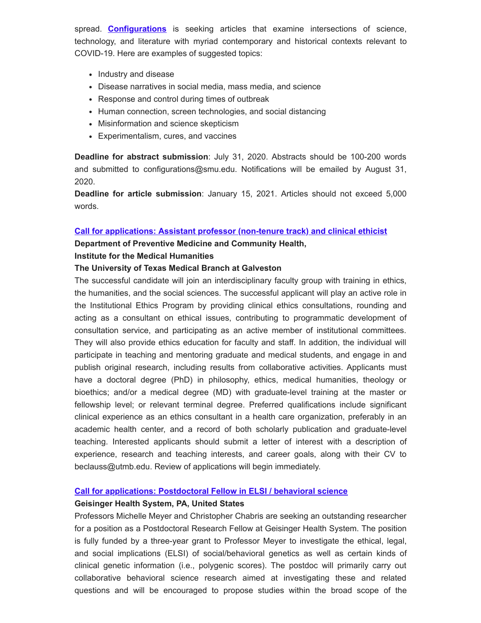spread. **[Configurations](https://www.press.jhu.edu/journals/configurations)** is seeking articles that examine intersections of science, technology, and literature with myriad contemporary and historical contexts relevant to COVID-19. Here are examples of suggested topics:

- Industry and disease
- Disease narratives in social media, mass media, and science
- Response and control during times of outbreak
- Human connection, screen technologies, and social distancing
- Misinformation and science skepticism
- Experimentalism, cures, and vaccines

**Deadline for abstract submission**: July 31, 2020. Abstracts should be 100-200 words and submitted to configurations@smu.edu. Notifications will be emailed by August 31, 2020.

**Deadline for article submission**: January 15, 2021. Articles should not exceed 5,000 words.

#### **[Call for applications: Assistant professor \(non-tenure track\) and clinical ethicist](http://www.bioethics.net/jobs/assistant-professor-clinical-ethicist-3/)**

**Department of Preventive Medicine and Community Health,** 

#### **Institute for the Medical Humanities**

#### **The University of Texas Medical Branch at Galveston**

The successful candidate will join an interdisciplinary faculty group with training in ethics, the humanities, and the social sciences. The successful applicant will play an active role in the Institutional Ethics Program by providing clinical ethics consultations, rounding and acting as a consultant on ethical issues, contributing to programmatic development of consultation service, and participating as an active member of institutional committees. They will also provide ethics education for faculty and staff. In addition, the individual will participate in teaching and mentoring graduate and medical students, and engage in and publish original research, including results from collaborative activities. Applicants must have a doctoral degree (PhD) in philosophy, ethics, medical humanities, theology or bioethics; and/or a medical degree (MD) with graduate-level training at the master or fellowship level; or relevant terminal degree. Preferred qualifications include significant clinical experience as an ethics consultant in a health care organization, preferably in an academic health center, and a record of both scholarly publication and graduate-level teaching. Interested applicants should submit a letter of interest with a description of experience, research and teaching interests, and career goals, along with their CV to beclauss@utmb.edu. Review of applications will begin immediately.

#### **[Call for applications: Postdoctoral Fellow in ELSI / behavioral science](http://www.bioethics.net/jobs/postdoctoral-fellow-in-elsibehavioral-science/)**

#### **Geisinger Health System, PA, United States**

Professors Michelle Meyer and Christopher Chabris are seeking an outstanding researcher for a position as a Postdoctoral Research Fellow at Geisinger Health System. The position is fully funded by a three-year grant to Professor Meyer to investigate the ethical, legal, and social implications (ELSI) of social/behavioral genetics as well as certain kinds of clinical genetic information (i.e., polygenic scores). The postdoc will primarily carry out collaborative behavioral science research aimed at investigating these and related questions and will be encouraged to propose studies within the broad scope of the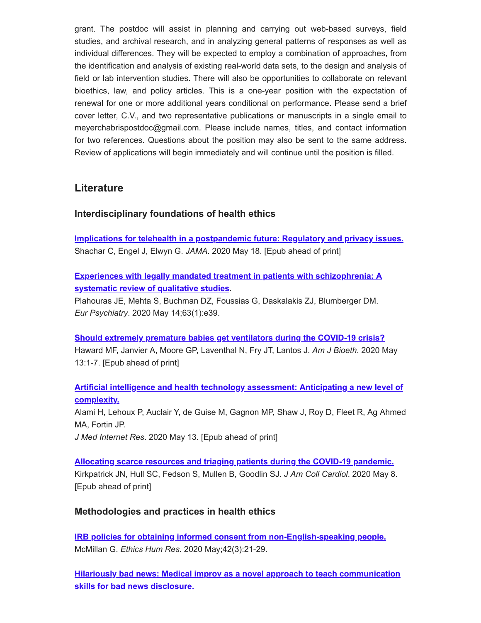grant. The postdoc will assist in planning and carrying out web-based surveys, field studies, and archival research, and in analyzing general patterns of responses as well as individual differences. They will be expected to employ a combination of approaches, from the identification and analysis of existing real-world data sets, to the design and analysis of field or lab intervention studies. There will also be opportunities to collaborate on relevant bioethics, law, and policy articles. This is a one-year position with the expectation of renewal for one or more additional years conditional on performance. Please send a brief cover letter, C.V., and two representative publications or manuscripts in a single email to meyerchabrispostdoc@gmail.com. Please include names, titles, and contact information for two references. Questions about the position may also be sent to the same address. Review of applications will begin immediately and will continue until the position is filled.

# **Literature**

# **Interdisciplinary foundations of health ethics**

**[Implications for telehealth in a postpandemic future: Regulatory and privacy issues.](https://pubmed.ncbi.nlm.nih.gov/32421170/)** Shachar C, Engel J, Elwyn G. *JAMA*. 2020 May 18. [Epub ahead of print]

**[Experiences with legally mandated treatment in patients with schizophrenia: A](https://pubmed.ncbi.nlm.nih.gov/32406364) systematic review of qualitative studies**.

Plahouras JE, Mehta S, Buchman DZ, Foussias G, Daskalakis ZJ, Blumberger DM. *Eur Psychiatry*. 2020 May 14;63(1):e39.

**[Should extremely premature babies get ventilators during the COVID-19 crisis?](https://pubmed.ncbi.nlm.nih.gov/32400291)** Haward MF, Janvier A, Moore GP, Laventhal N, Fry JT, Lantos J. *Am J Bioeth*. 2020 May 13:1-7. [Epub ahead of print]

## **[Artificial intelligence and health technology assessment: Anticipating a new level of](https://pubmed.ncbi.nlm.nih.gov/32406850) complexity.**

Alami H, Lehoux P, Auclair Y, de Guise M, Gagnon MP, Shaw J, Roy D, Fleet R, Ag Ahmed MA, Fortin JP.

*J Med Internet Res*. 2020 May 13. [Epub ahead of print]

**[Allocating scarce resources and triaging patients during the COVID-19 pandemic.](https://pubmed.ncbi.nlm.nih.gov/32407772)** Kirkpatrick JN, Hull SC, Fedson S, Mullen B, Goodlin SJ. *J Am Coll Cardiol*. 2020 May 8. [Epub ahead of print]

## **Methodologies and practices in health ethics**

**[IRB policies for obtaining informed consent from non-English-speaking people.](https://pubmed.ncbi.nlm.nih.gov/32421949/)** McMillan G. *Ethics Hum Res*. 2020 May;42(3):21-29.

**[Hilariously bad news: Medical improv as a novel approach to teach communication](https://pubmed.ncbi.nlm.nih.gov/32389759/) skills for bad news disclosure.**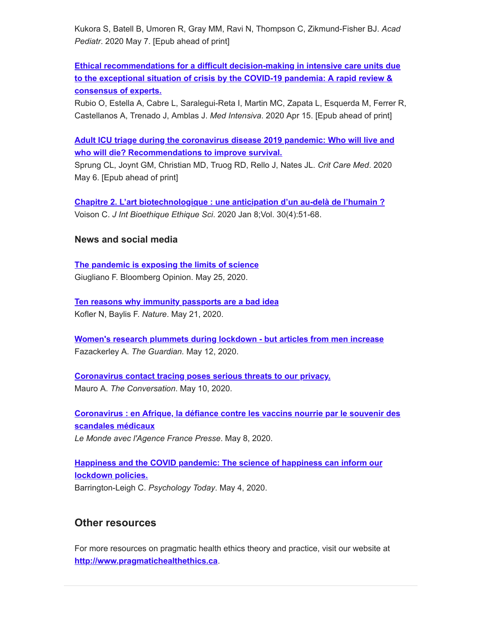Kukora S, Batell B, Umoren R, Gray MM, Ravi N, Thompson C, Zikmund-Fisher BJ. *Acad Pediatr*. 2020 May 7. [Epub ahead of print]

**[Ethical recommendations for a difficult decision-making in intensive care units due](https://pubmed.ncbi.nlm.nih.gov/32402532) to the exceptional situation of crisis by the COVID-19 pandemia: A rapid review & consensus of experts.**

Rubio O, Estella A, Cabre L, Saralegui-Reta I, Martin MC, Zapata L, Esquerda M, Ferrer R, Castellanos A, Trenado J, Amblas J. *Med Intensiva*. 2020 Apr 15. [Epub ahead of print]

**[Adult ICU triage during the coronavirus disease 2019 pandemic: Who will live and](https://pubmed.ncbi.nlm.nih.gov/32392017) who will die? Recommendations to improve survival.**

Sprung CL, Joynt GM, Christian MD, Truog RD, Rello J, Nates JL. *Crit Care Med*. 2020 May 6. [Epub ahead of print]

**[Chapitre 2. L'art biotechnologique : une anticipation d'un au-delà de l'humain ?](https://pubmed.ncbi.nlm.nih.gov/32378395/)** Voison C. *J Int Bioethique Ethique Sci*. 2020 Jan 8;Vol. 30(4):51-68.

### **News and social media**

**[The pandemic is exposing the limits of science](https://www.bloomberg.com/opinion/articles/2020-05-25/coronavirus-the-pandemic-is-exposing-the-limits-of-scientists)** Giugliano F. Bloomberg Opinion. May 25, 2020.

**[Ten reasons why immunity passports are a bad idea](https://www.nature.com/articles/d41586-020-01451-0?fbclid=IwAR1IgUryvWnv_V8Q1xqN_mr00aZukqP7Lyk0NTOxpek2hoUBzTi5uVQ8I2c)** Kofler N, Baylis F. *Nature*. May 21, 2020.

**[Women's research plummets during lockdown - but articles from men increase](https://www.theguardian.com/education/2020/may/12/womens-research-plummets-during-lockdown-but-articles-from-men-increase?CMP=share_btn_fb&fbclid=IwAR31h3wEmuCeEBRQwdqs_Hhg52ToOLKlRRK6syn42zAB54XkaHXN9MFWOVU)** Fazackerley A. *The Guardian.* May 12, 2020.

**[Coronavirus contact tracing poses serious threats to our privacy.](https://theconversation.com/coronavirus-contact-tracing-poses-serious-threats-to-our-privacy-137073)** Mauro A. *The Conversation*. May 10, 2020.

**[Coronavirus : en Afrique, la défiance contre les vaccins nourrie par le souvenir des](https://www.lemonde.fr/afrique/article/2020/05/08/covid-19-en-afrique-la-defiance-contre-les-vaccins-nourrie-par-le-souvenir-des-scandales-medicaux_6039055_3212.html) scandales médicaux** *Le Monde avec l'Agence France Presse*. May 8, 2020.

**[Happiness and the COVID pandemic: The science of happiness can inform our](https://www.psychologytoday.com/ca/blog/the-economics-happiness/202005/happiness-and-the-covid-pandemic) lockdown policies.** Barrington-Leigh C. *Psychology Today*. May 4, 2020.

# **Other resources**

For more resources on pragmatic health ethics theory and practice, visit our website at **[http://www.pragmatichealthethics.ca](http://www.pragmatichealthethics.ca/)**.